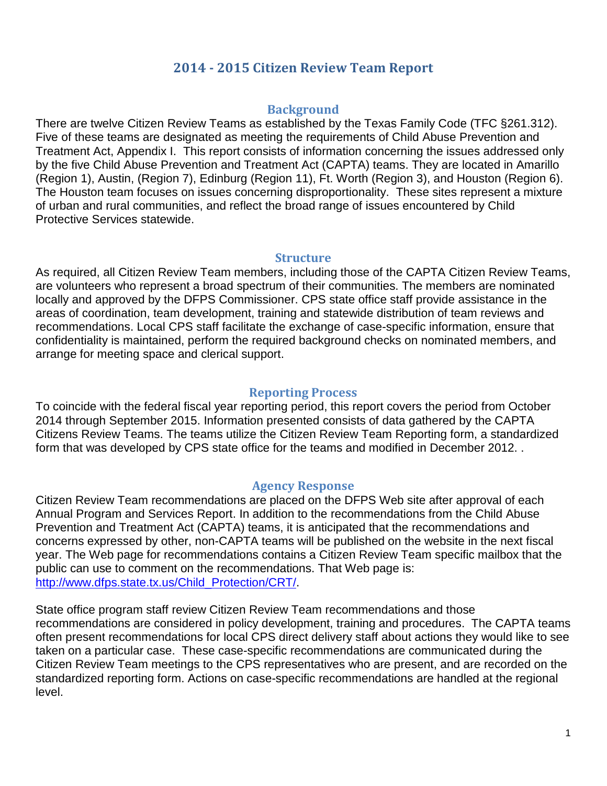## **2014 - 2015 Citizen Review Team Report**

### **Background**

There are twelve Citizen Review Teams as established by the Texas Family Code (TFC §261.312). Five of these teams are designated as meeting the requirements of Child Abuse Prevention and Treatment Act, Appendix I. This report consists of information concerning the issues addressed only by the five Child Abuse Prevention and Treatment Act (CAPTA) teams. They are located in Amarillo (Region 1), Austin, (Region 7), Edinburg (Region 11), Ft. Worth (Region 3), and Houston (Region 6). The Houston team focuses on issues concerning disproportionality. These sites represent a mixture of urban and rural communities, and reflect the broad range of issues encountered by Child Protective Services statewide.

#### **Structure**

As required, all Citizen Review Team members, including those of the CAPTA Citizen Review Teams, are volunteers who represent a broad spectrum of their communities. The members are nominated locally and approved by the DFPS Commissioner. CPS state office staff provide assistance in the areas of coordination, team development, training and statewide distribution of team reviews and recommendations. Local CPS staff facilitate the exchange of case-specific information, ensure that confidentiality is maintained, perform the required background checks on nominated members, and arrange for meeting space and clerical support.

### **Reporting Process**

To coincide with the federal fiscal year reporting period, this report covers the period from October 2014 through September 2015. Information presented consists of data gathered by the CAPTA Citizens Review Teams. The teams utilize the Citizen Review Team Reporting form, a standardized form that was developed by CPS state office for the teams and modified in December 2012. .

#### **Agency Response**

Citizen Review Team recommendations are placed on the DFPS Web site after approval of each Annual Program and Services Report. In addition to the recommendations from the Child Abuse Prevention and Treatment Act (CAPTA) teams, it is anticipated that the recommendations and concerns expressed by other, non-CAPTA teams will be published on the website in the next fiscal year. The Web page for recommendations contains a Citizen Review Team specific mailbox that the public can use to comment on the recommendations. That Web page is: [http://www.dfps.state.tx.us/Child\\_Protection/CRT/.](http://www.dfps.state.tx.us/Child_Protection/CRT/)

State office program staff review Citizen Review Team recommendations and those recommendations are considered in policy development, training and procedures. The CAPTA teams often present recommendations for local CPS direct delivery staff about actions they would like to see taken on a particular case. These case-specific recommendations are communicated during the Citizen Review Team meetings to the CPS representatives who are present, and are recorded on the standardized reporting form. Actions on case-specific recommendations are handled at the regional level.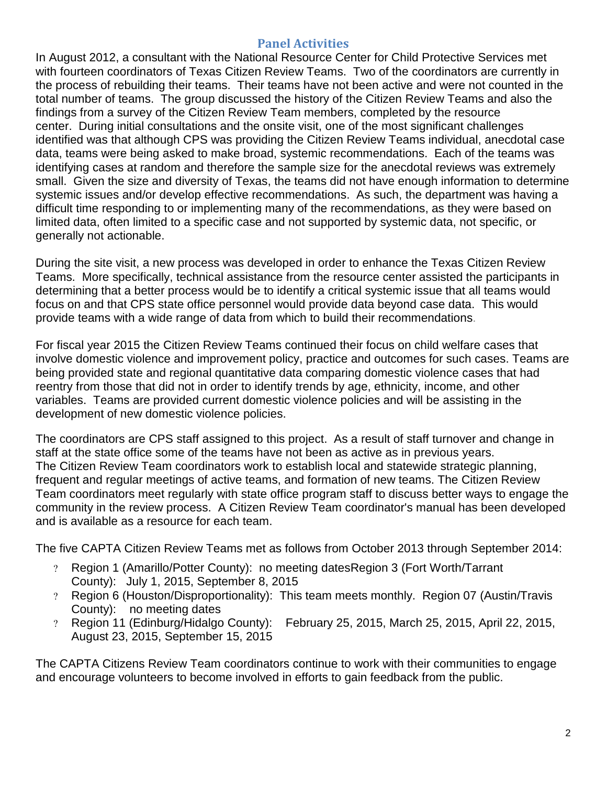### **Panel Activities**

In August 2012, a consultant with the National Resource Center for Child Protective Services met with fourteen coordinators of Texas Citizen Review Teams. Two of the coordinators are currently in the process of rebuilding their teams. Their teams have not been active and were not counted in the total number of teams. The group discussed the history of the Citizen Review Teams and also the findings from a survey of the Citizen Review Team members, completed by the resource center. During initial consultations and the onsite visit, one of the most significant challenges identified was that although CPS was providing the Citizen Review Teams individual, anecdotal case data, teams were being asked to make broad, systemic recommendations. Each of the teams was identifying cases at random and therefore the sample size for the anecdotal reviews was extremely small. Given the size and diversity of Texas, the teams did not have enough information to determine systemic issues and/or develop effective recommendations. As such, the department was having a difficult time responding to or implementing many of the recommendations, as they were based on limited data, often limited to a specific case and not supported by systemic data, not specific, or generally not actionable.

During the site visit, a new process was developed in order to enhance the Texas Citizen Review Teams. More specifically, technical assistance from the resource center assisted the participants in determining that a better process would be to identify a critical systemic issue that all teams would focus on and that CPS state office personnel would provide data beyond case data. This would provide teams with a wide range of data from which to build their recommendations.

For fiscal year 2015 the Citizen Review Teams continued their focus on child welfare cases that involve domestic violence and improvement policy, practice and outcomes for such cases. Teams are being provided state and regional quantitative data comparing domestic violence cases that had reentry from those that did not in order to identify trends by age, ethnicity, income, and other variables. Teams are provided current domestic violence policies and will be assisting in the development of new domestic violence policies.

The coordinators are CPS staff assigned to this project. As a result of staff turnover and change in staff at the state office some of the teams have not been as active as in previous years. The Citizen Review Team coordinators work to establish local and statewide strategic planning, frequent and regular meetings of active teams, and formation of new teams. The Citizen Review Team coordinators meet regularly with state office program staff to discuss better ways to engage the community in the review process. A Citizen Review Team coordinator's manual has been developed and is available as a resource for each team.

The five CAPTA Citizen Review Teams met as follows from October 2013 through September 2014:

- ? Region 1 (Amarillo/Potter County): no meeting datesRegion 3 (Fort Worth/Tarrant County): July 1, 2015, September 8, 2015
- ? Region 6 (Houston/Disproportionality): This team meets monthly. Region 07 (Austin/Travis County): no meeting dates
- ? Region 11 (Edinburg/Hidalgo County): February 25, 2015, March 25, 2015, April 22, 2015, August 23, 2015, September 15, 2015

The CAPTA Citizens Review Team coordinators continue to work with their communities to engage and encourage volunteers to become involved in efforts to gain feedback from the public.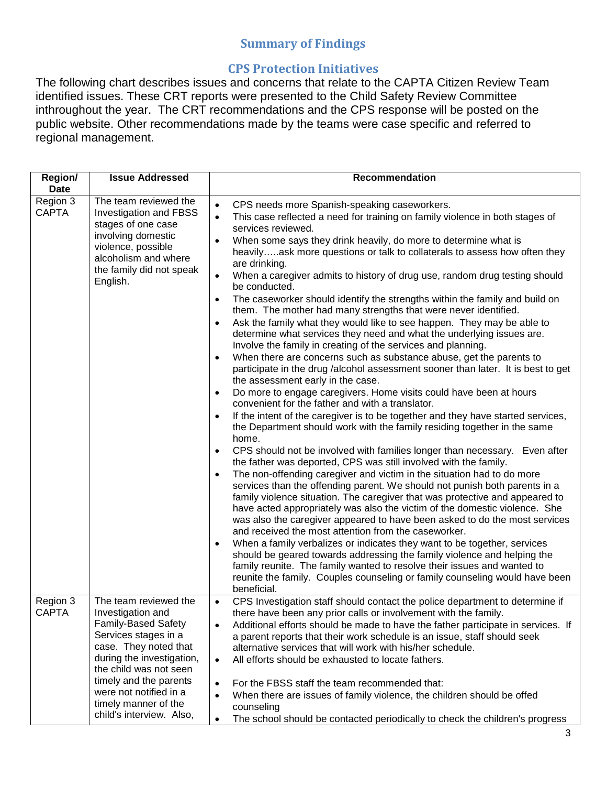# **Summary of Findings**

# **CPS Protection Initiatives**

The following chart describes issues and concerns that relate to the CAPTA Citizen Review Team identified issues. These CRT reports were presented to the Child Safety Review Committee inthroughout the year. The CRT recommendations and the CPS response will be posted on the public website. Other recommendations made by the teams were case specific and referred to regional management.

| <b>Region/</b><br><b>Date</b> | <b>Issue Addressed</b>                                                                                                                                                                                                                                                                   | Recommendation                                                                                                                                                                                                                                                                                                                                                                                                                                                                                                                                                                                                                                                                                                                                                                                                                                                                                                                                                                                                                                                                                                                                                                                                                                                                                                                                                                                                                                                                                                                                                                                                                                                                                                                                                                                                                                                                                                                                                                                                                                                                                                                                                                                                                                                                                                                                                                                       |
|-------------------------------|------------------------------------------------------------------------------------------------------------------------------------------------------------------------------------------------------------------------------------------------------------------------------------------|------------------------------------------------------------------------------------------------------------------------------------------------------------------------------------------------------------------------------------------------------------------------------------------------------------------------------------------------------------------------------------------------------------------------------------------------------------------------------------------------------------------------------------------------------------------------------------------------------------------------------------------------------------------------------------------------------------------------------------------------------------------------------------------------------------------------------------------------------------------------------------------------------------------------------------------------------------------------------------------------------------------------------------------------------------------------------------------------------------------------------------------------------------------------------------------------------------------------------------------------------------------------------------------------------------------------------------------------------------------------------------------------------------------------------------------------------------------------------------------------------------------------------------------------------------------------------------------------------------------------------------------------------------------------------------------------------------------------------------------------------------------------------------------------------------------------------------------------------------------------------------------------------------------------------------------------------------------------------------------------------------------------------------------------------------------------------------------------------------------------------------------------------------------------------------------------------------------------------------------------------------------------------------------------------------------------------------------------------------------------------------------------------|
| Region 3<br><b>CAPTA</b>      | The team reviewed the<br><b>Investigation and FBSS</b><br>stages of one case<br>involving domestic<br>violence, possible<br>alcoholism and where<br>the family did not speak<br>English.                                                                                                 | CPS needs more Spanish-speaking caseworkers.<br>$\bullet$<br>This case reflected a need for training on family violence in both stages of<br>$\bullet$<br>services reviewed.<br>When some says they drink heavily, do more to determine what is<br>$\bullet$<br>heavilyask more questions or talk to collaterals to assess how often they<br>are drinking.<br>When a caregiver admits to history of drug use, random drug testing should<br>$\bullet$<br>be conducted.<br>The caseworker should identify the strengths within the family and build on<br>$\bullet$<br>them. The mother had many strengths that were never identified.<br>Ask the family what they would like to see happen. They may be able to<br>$\bullet$<br>determine what services they need and what the underlying issues are.<br>Involve the family in creating of the services and planning.<br>When there are concerns such as substance abuse, get the parents to<br>$\bullet$<br>participate in the drug /alcohol assessment sooner than later. It is best to get<br>the assessment early in the case.<br>Do more to engage caregivers. Home visits could have been at hours<br>$\bullet$<br>convenient for the father and with a translator.<br>If the intent of the caregiver is to be together and they have started services,<br>$\bullet$<br>the Department should work with the family residing together in the same<br>home.<br>CPS should not be involved with families longer than necessary. Even after<br>$\bullet$<br>the father was deported, CPS was still involved with the family.<br>The non-offending caregiver and victim in the situation had to do more<br>$\bullet$<br>services than the offending parent. We should not punish both parents in a<br>family violence situation. The caregiver that was protective and appeared to<br>have acted appropriately was also the victim of the domestic violence. She<br>was also the caregiver appeared to have been asked to do the most services<br>and received the most attention from the caseworker.<br>When a family verbalizes or indicates they want to be together, services<br>$\bullet$<br>should be geared towards addressing the family violence and helping the<br>family reunite. The family wanted to resolve their issues and wanted to<br>reunite the family. Couples counseling or family counseling would have been<br>beneficial. |
| Region 3<br>CAPTA             | The team reviewed the<br>Investigation and<br><b>Family-Based Safety</b><br>Services stages in a<br>case. They noted that<br>during the investigation,<br>the child was not seen<br>timely and the parents<br>were not notified in a<br>timely manner of the<br>child's interview. Also, | CPS Investigation staff should contact the police department to determine if<br>$\bullet$<br>there have been any prior calls or involvement with the family.<br>Additional efforts should be made to have the father participate in services. If<br>$\bullet$<br>a parent reports that their work schedule is an issue, staff should seek<br>alternative services that will work with his/her schedule.<br>All efforts should be exhausted to locate fathers.<br>$\bullet$<br>For the FBSS staff the team recommended that:<br>$\bullet$<br>When there are issues of family violence, the children should be offed<br>$\bullet$<br>counseling<br>The school should be contacted periodically to check the children's progress<br>$\bullet$                                                                                                                                                                                                                                                                                                                                                                                                                                                                                                                                                                                                                                                                                                                                                                                                                                                                                                                                                                                                                                                                                                                                                                                                                                                                                                                                                                                                                                                                                                                                                                                                                                                           |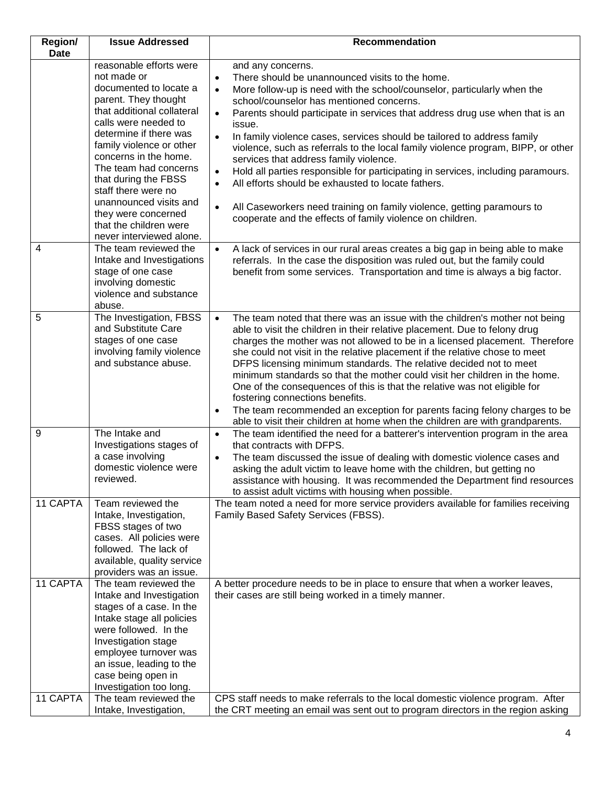| <b>Region/</b><br><b>Date</b> | <b>Issue Addressed</b>                                                                                                                                                                                                                                                                                                                                                                                       | Recommendation                                                                                                                                                                                                                                                                                                                                                                                                                                                                                                                                                                                                                                                                                                                                                                                                                                                |
|-------------------------------|--------------------------------------------------------------------------------------------------------------------------------------------------------------------------------------------------------------------------------------------------------------------------------------------------------------------------------------------------------------------------------------------------------------|---------------------------------------------------------------------------------------------------------------------------------------------------------------------------------------------------------------------------------------------------------------------------------------------------------------------------------------------------------------------------------------------------------------------------------------------------------------------------------------------------------------------------------------------------------------------------------------------------------------------------------------------------------------------------------------------------------------------------------------------------------------------------------------------------------------------------------------------------------------|
|                               | reasonable efforts were<br>not made or<br>documented to locate a<br>parent. They thought<br>that additional collateral<br>calls were needed to<br>determine if there was<br>family violence or other<br>concerns in the home.<br>The team had concerns<br>that during the FBSS<br>staff there were no<br>unannounced visits and<br>they were concerned<br>that the children were<br>never interviewed alone. | and any concerns.<br>There should be unannounced visits to the home.<br>$\bullet$<br>More follow-up is need with the school/counselor, particularly when the<br>$\bullet$<br>school/counselor has mentioned concerns.<br>Parents should participate in services that address drug use when that is an<br>issue.<br>In family violence cases, services should be tailored to address family<br>$\bullet$<br>violence, such as referrals to the local family violence program, BIPP, or other<br>services that address family violence.<br>Hold all parties responsible for participating in services, including paramours.<br>$\bullet$<br>All efforts should be exhausted to locate fathers.<br>$\bullet$<br>All Caseworkers need training on family violence, getting paramours to<br>$\bullet$<br>cooperate and the effects of family violence on children. |
| 4                             | The team reviewed the<br>Intake and Investigations<br>stage of one case<br>involving domestic<br>violence and substance<br>abuse.                                                                                                                                                                                                                                                                            | A lack of services in our rural areas creates a big gap in being able to make<br>$\bullet$<br>referrals. In the case the disposition was ruled out, but the family could<br>benefit from some services. Transportation and time is always a big factor.                                                                                                                                                                                                                                                                                                                                                                                                                                                                                                                                                                                                       |
| 5                             | The Investigation, FBSS<br>and Substitute Care<br>stages of one case<br>involving family violence<br>and substance abuse.                                                                                                                                                                                                                                                                                    | The team noted that there was an issue with the children's mother not being<br>$\bullet$<br>able to visit the children in their relative placement. Due to felony drug<br>charges the mother was not allowed to be in a licensed placement. Therefore<br>she could not visit in the relative placement if the relative chose to meet<br>DFPS licensing minimum standards. The relative decided not to meet<br>minimum standards so that the mother could visit her children in the home.<br>One of the consequences of this is that the relative was not eligible for<br>fostering connections benefits.<br>The team recommended an exception for parents facing felony charges to be<br>$\bullet$<br>able to visit their children at home when the children are with grandparents.                                                                           |
| 9                             | The Intake and<br>Investigations stages of<br>a case involving<br>domestic violence were<br>reviewed.                                                                                                                                                                                                                                                                                                        | The team identified the need for a batterer's intervention program in the area<br>$\bullet$<br>that contracts with DFPS.<br>The team discussed the issue of dealing with domestic violence cases and<br>asking the adult victim to leave home with the children, but getting no<br>assistance with housing. It was recommended the Department find resources<br>to assist adult victims with housing when possible.                                                                                                                                                                                                                                                                                                                                                                                                                                           |
| 11 CAPTA                      | Team reviewed the<br>Intake, Investigation,<br>FBSS stages of two<br>cases. All policies were<br>followed. The lack of<br>available, quality service<br>providers was an issue.                                                                                                                                                                                                                              | The team noted a need for more service providers available for families receiving<br>Family Based Safety Services (FBSS).                                                                                                                                                                                                                                                                                                                                                                                                                                                                                                                                                                                                                                                                                                                                     |
| 11 CAPTA<br>11 CAPTA          | The team reviewed the<br>Intake and Investigation<br>stages of a case. In the<br>Intake stage all policies<br>were followed. In the<br>Investigation stage<br>employee turnover was<br>an issue, leading to the<br>case being open in<br>Investigation too long.<br>The team reviewed the<br>Intake, Investigation,                                                                                          | A better procedure needs to be in place to ensure that when a worker leaves,<br>their cases are still being worked in a timely manner.<br>CPS staff needs to make referrals to the local domestic violence program. After<br>the CRT meeting an email was sent out to program directors in the region asking                                                                                                                                                                                                                                                                                                                                                                                                                                                                                                                                                  |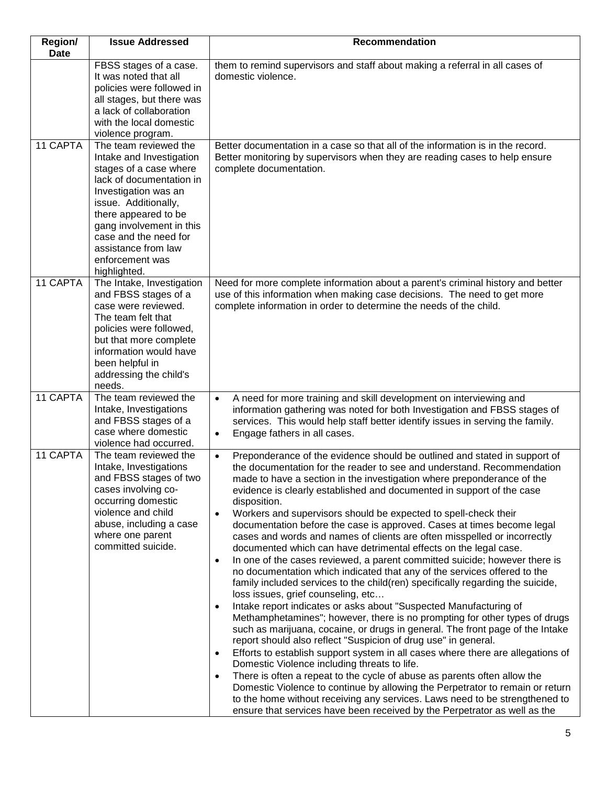| <b>Region/</b><br><b>Date</b> | <b>Issue Addressed</b>                                                                                                                                                                                                                                                                         | Recommendation                                                                                                                                                                                                                                                                                                                                                                                                                                                                                                                                                                                                                                                                                                                                                                                                                                                                                                                                                                                                                                                                                                                                                                                                                                                                                                                                                                                                                                                                                                                                                                                                                                                                                                                                        |
|-------------------------------|------------------------------------------------------------------------------------------------------------------------------------------------------------------------------------------------------------------------------------------------------------------------------------------------|-------------------------------------------------------------------------------------------------------------------------------------------------------------------------------------------------------------------------------------------------------------------------------------------------------------------------------------------------------------------------------------------------------------------------------------------------------------------------------------------------------------------------------------------------------------------------------------------------------------------------------------------------------------------------------------------------------------------------------------------------------------------------------------------------------------------------------------------------------------------------------------------------------------------------------------------------------------------------------------------------------------------------------------------------------------------------------------------------------------------------------------------------------------------------------------------------------------------------------------------------------------------------------------------------------------------------------------------------------------------------------------------------------------------------------------------------------------------------------------------------------------------------------------------------------------------------------------------------------------------------------------------------------------------------------------------------------------------------------------------------------|
|                               | FBSS stages of a case.<br>It was noted that all<br>policies were followed in<br>all stages, but there was<br>a lack of collaboration<br>with the local domestic<br>violence program.                                                                                                           | them to remind supervisors and staff about making a referral in all cases of<br>domestic violence.                                                                                                                                                                                                                                                                                                                                                                                                                                                                                                                                                                                                                                                                                                                                                                                                                                                                                                                                                                                                                                                                                                                                                                                                                                                                                                                                                                                                                                                                                                                                                                                                                                                    |
| 11 CAPTA                      | The team reviewed the<br>Intake and Investigation<br>stages of a case where<br>lack of documentation in<br>Investigation was an<br>issue. Additionally,<br>there appeared to be<br>gang involvement in this<br>case and the need for<br>assistance from law<br>enforcement was<br>highlighted. | Better documentation in a case so that all of the information is in the record.<br>Better monitoring by supervisors when they are reading cases to help ensure<br>complete documentation.                                                                                                                                                                                                                                                                                                                                                                                                                                                                                                                                                                                                                                                                                                                                                                                                                                                                                                                                                                                                                                                                                                                                                                                                                                                                                                                                                                                                                                                                                                                                                             |
| 11 CAPTA                      | The Intake, Investigation<br>and FBSS stages of a<br>case were reviewed.<br>The team felt that<br>policies were followed,<br>but that more complete<br>information would have<br>been helpful in<br>addressing the child's<br>needs.                                                           | Need for more complete information about a parent's criminal history and better<br>use of this information when making case decisions. The need to get more<br>complete information in order to determine the needs of the child.                                                                                                                                                                                                                                                                                                                                                                                                                                                                                                                                                                                                                                                                                                                                                                                                                                                                                                                                                                                                                                                                                                                                                                                                                                                                                                                                                                                                                                                                                                                     |
| 11 CAPTA                      | The team reviewed the<br>Intake, Investigations<br>and FBSS stages of a<br>case where domestic<br>violence had occurred.                                                                                                                                                                       | A need for more training and skill development on interviewing and<br>$\bullet$<br>information gathering was noted for both Investigation and FBSS stages of<br>services. This would help staff better identify issues in serving the family.<br>Engage fathers in all cases.<br>$\bullet$                                                                                                                                                                                                                                                                                                                                                                                                                                                                                                                                                                                                                                                                                                                                                                                                                                                                                                                                                                                                                                                                                                                                                                                                                                                                                                                                                                                                                                                            |
| 11 CAPTA                      | The team reviewed the<br>Intake, Investigations<br>and FBSS stages of two<br>cases involving co-<br>occurring domestic<br>violence and child<br>abuse, including a case<br>where one parent<br>committed suicide.                                                                              | Preponderance of the evidence should be outlined and stated in support of<br>$\bullet$<br>the documentation for the reader to see and understand. Recommendation<br>made to have a section in the investigation where preponderance of the<br>evidence is clearly established and documented in support of the case<br>disposition.<br>Workers and supervisors should be expected to spell-check their<br>$\bullet$<br>documentation before the case is approved. Cases at times become legal<br>cases and words and names of clients are often misspelled or incorrectly<br>documented which can have detrimental effects on the legal case.<br>In one of the cases reviewed, a parent committed suicide; however there is<br>$\bullet$<br>no documentation which indicated that any of the services offered to the<br>family included services to the child(ren) specifically regarding the suicide,<br>loss issues, grief counseling, etc<br>Intake report indicates or asks about "Suspected Manufacturing of<br>$\bullet$<br>Methamphetamines"; however, there is no prompting for other types of drugs<br>such as marijuana, cocaine, or drugs in general. The front page of the Intake<br>report should also reflect "Suspicion of drug use" in general.<br>Efforts to establish support system in all cases where there are allegations of<br>$\bullet$<br>Domestic Violence including threats to life.<br>There is often a repeat to the cycle of abuse as parents often allow the<br>$\bullet$<br>Domestic Violence to continue by allowing the Perpetrator to remain or return<br>to the home without receiving any services. Laws need to be strengthened to<br>ensure that services have been received by the Perpetrator as well as the |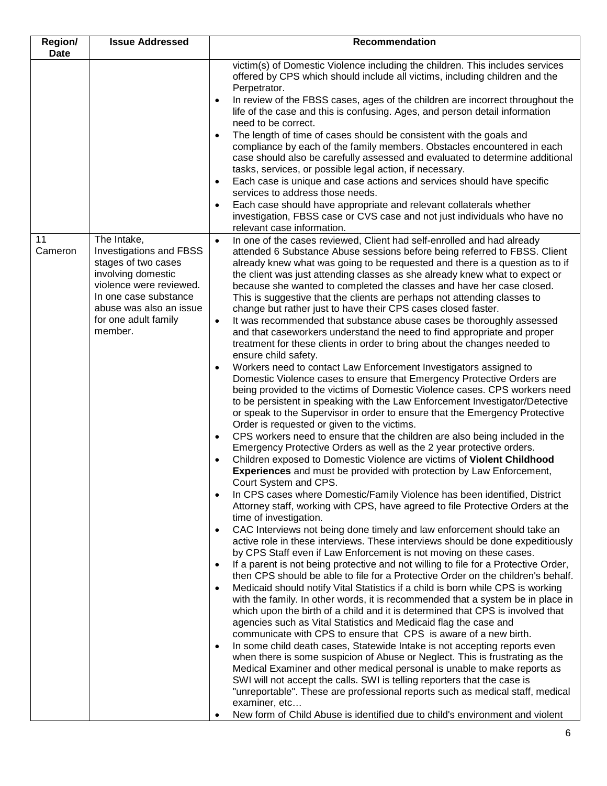| Region/<br><b>Date</b> | <b>Issue Addressed</b>                                                                                                                                                                                       | Recommendation                                                                                                                                                                                                                                                                                                                                                                                                                                                                                                                                                                                                                                                                                                                                                                                                                                                                                                                                                                                                                                                                                                                                                                                                                                                                                                                                                                                                                                                                                                                                                                                                                                                                                                                                                                                                                                                                                                                                                                                                                                                                                                                                                                                                                                                                                                                                                                                                                                                                                                                                                                                                                                                                                                                                                                                                                                                                                                                                                                                                                                                                                                                                                                                                                                                                  |
|------------------------|--------------------------------------------------------------------------------------------------------------------------------------------------------------------------------------------------------------|---------------------------------------------------------------------------------------------------------------------------------------------------------------------------------------------------------------------------------------------------------------------------------------------------------------------------------------------------------------------------------------------------------------------------------------------------------------------------------------------------------------------------------------------------------------------------------------------------------------------------------------------------------------------------------------------------------------------------------------------------------------------------------------------------------------------------------------------------------------------------------------------------------------------------------------------------------------------------------------------------------------------------------------------------------------------------------------------------------------------------------------------------------------------------------------------------------------------------------------------------------------------------------------------------------------------------------------------------------------------------------------------------------------------------------------------------------------------------------------------------------------------------------------------------------------------------------------------------------------------------------------------------------------------------------------------------------------------------------------------------------------------------------------------------------------------------------------------------------------------------------------------------------------------------------------------------------------------------------------------------------------------------------------------------------------------------------------------------------------------------------------------------------------------------------------------------------------------------------------------------------------------------------------------------------------------------------------------------------------------------------------------------------------------------------------------------------------------------------------------------------------------------------------------------------------------------------------------------------------------------------------------------------------------------------------------------------------------------------------------------------------------------------------------------------------------------------------------------------------------------------------------------------------------------------------------------------------------------------------------------------------------------------------------------------------------------------------------------------------------------------------------------------------------------------------------------------------------------------------------------------------------------------|
|                        |                                                                                                                                                                                                              | victim(s) of Domestic Violence including the children. This includes services<br>offered by CPS which should include all victims, including children and the<br>Perpetrator.<br>In review of the FBSS cases, ages of the children are incorrect throughout the<br>$\bullet$<br>life of the case and this is confusing. Ages, and person detail information<br>need to be correct.<br>The length of time of cases should be consistent with the goals and<br>٠<br>compliance by each of the family members. Obstacles encountered in each<br>case should also be carefully assessed and evaluated to determine additional<br>tasks, services, or possible legal action, if necessary.<br>Each case is unique and case actions and services should have specific<br>$\bullet$<br>services to address those needs.<br>Each case should have appropriate and relevant collaterals whether<br>$\bullet$<br>investigation, FBSS case or CVS case and not just individuals who have no                                                                                                                                                                                                                                                                                                                                                                                                                                                                                                                                                                                                                                                                                                                                                                                                                                                                                                                                                                                                                                                                                                                                                                                                                                                                                                                                                                                                                                                                                                                                                                                                                                                                                                                                                                                                                                                                                                                                                                                                                                                                                                                                                                                                                                                                                                 |
| 11<br>Cameron          | The Intake,<br><b>Investigations and FBSS</b><br>stages of two cases<br>involving domestic<br>violence were reviewed.<br>In one case substance<br>abuse was also an issue<br>for one adult family<br>member. | relevant case information.<br>In one of the cases reviewed, Client had self-enrolled and had already<br>$\bullet$<br>attended 6 Substance Abuse sessions before being referred to FBSS. Client<br>already knew what was going to be requested and there is a question as to if<br>the client was just attending classes as she already knew what to expect or<br>because she wanted to completed the classes and have her case closed.<br>This is suggestive that the clients are perhaps not attending classes to<br>change but rather just to have their CPS cases closed faster.<br>It was recommended that substance abuse cases be thoroughly assessed<br>$\bullet$<br>and that caseworkers understand the need to find appropriate and proper<br>treatment for these clients in order to bring about the changes needed to<br>ensure child safety.<br>Workers need to contact Law Enforcement Investigators assigned to<br>$\bullet$<br>Domestic Violence cases to ensure that Emergency Protective Orders are<br>being provided to the victims of Domestic Violence cases. CPS workers need<br>to be persistent in speaking with the Law Enforcement Investigator/Detective<br>or speak to the Supervisor in order to ensure that the Emergency Protective<br>Order is requested or given to the victims.<br>CPS workers need to ensure that the children are also being included in the<br>$\bullet$<br>Emergency Protective Orders as well as the 2 year protective orders.<br>Children exposed to Domestic Violence are victims of Violent Childhood<br>$\bullet$<br><b>Experiences</b> and must be provided with protection by Law Enforcement,<br>Court System and CPS.<br>In CPS cases where Domestic/Family Violence has been identified, District<br>$\bullet$<br>Attorney staff, working with CPS, have agreed to file Protective Orders at the<br>time of investigation.<br>CAC Interviews not being done timely and law enforcement should take an<br>$\bullet$<br>active role in these interviews. These interviews should be done expeditiously<br>by CPS Staff even if Law Enforcement is not moving on these cases.<br>If a parent is not being protective and not willing to file for a Protective Order,<br>$\bullet$<br>then CPS should be able to file for a Protective Order on the children's behalf.<br>Medicaid should notify Vital Statistics if a child is born while CPS is working<br>$\bullet$<br>with the family. In other words, it is recommended that a system be in place in<br>which upon the birth of a child and it is determined that CPS is involved that<br>agencies such as Vital Statistics and Medicaid flag the case and<br>communicate with CPS to ensure that CPS is aware of a new birth.<br>In some child death cases, Statewide Intake is not accepting reports even<br>$\bullet$<br>when there is some suspicion of Abuse or Neglect. This is frustrating as the<br>Medical Examiner and other medical personal is unable to make reports as<br>SWI will not accept the calls. SWI is telling reporters that the case is<br>"unreportable". These are professional reports such as medical staff, medical<br>examiner, etc<br>New form of Child Abuse is identified due to child's environment and violent<br>$\bullet$ |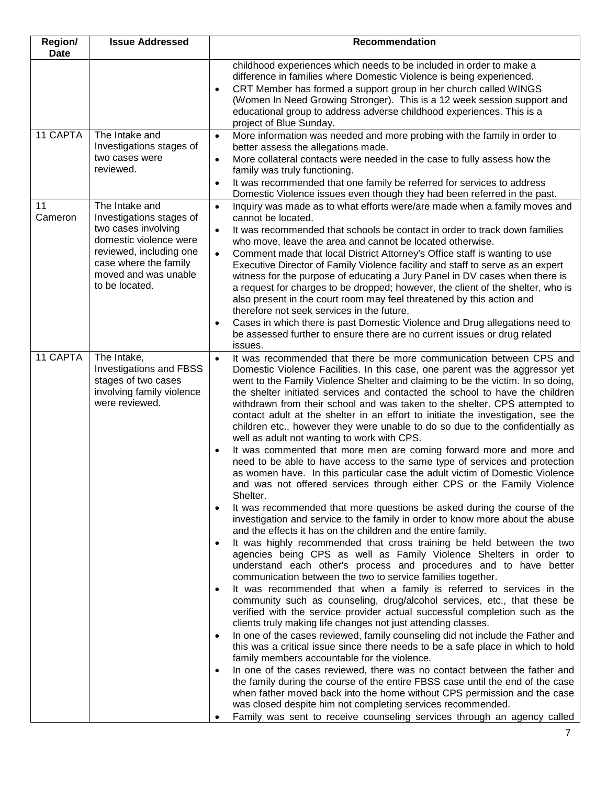| Region/<br><b>Date</b> | <b>Issue Addressed</b>                                                                                                                                                                    | <b>Recommendation</b>                                                                                                                                                                                                                                                                                                                                                                                                                                                                                                                                                                                                                                                                                                                                                                                                                                                                                                                                                                                                                                                                                                                                                                                                                                                                                                                                                                                                                                                                                                                                                                                                                                                                                                                                                                                                                                                                                                                                                                                                                                                                                                                                                                                                                                                                                                                                                                                                                                                                      |
|------------------------|-------------------------------------------------------------------------------------------------------------------------------------------------------------------------------------------|--------------------------------------------------------------------------------------------------------------------------------------------------------------------------------------------------------------------------------------------------------------------------------------------------------------------------------------------------------------------------------------------------------------------------------------------------------------------------------------------------------------------------------------------------------------------------------------------------------------------------------------------------------------------------------------------------------------------------------------------------------------------------------------------------------------------------------------------------------------------------------------------------------------------------------------------------------------------------------------------------------------------------------------------------------------------------------------------------------------------------------------------------------------------------------------------------------------------------------------------------------------------------------------------------------------------------------------------------------------------------------------------------------------------------------------------------------------------------------------------------------------------------------------------------------------------------------------------------------------------------------------------------------------------------------------------------------------------------------------------------------------------------------------------------------------------------------------------------------------------------------------------------------------------------------------------------------------------------------------------------------------------------------------------------------------------------------------------------------------------------------------------------------------------------------------------------------------------------------------------------------------------------------------------------------------------------------------------------------------------------------------------------------------------------------------------------------------------------------------------|
|                        |                                                                                                                                                                                           | childhood experiences which needs to be included in order to make a<br>difference in families where Domestic Violence is being experienced.<br>CRT Member has formed a support group in her church called WINGS<br>$\bullet$<br>(Women In Need Growing Stronger). This is a 12 week session support and<br>educational group to address adverse childhood experiences. This is a<br>project of Blue Sunday.                                                                                                                                                                                                                                                                                                                                                                                                                                                                                                                                                                                                                                                                                                                                                                                                                                                                                                                                                                                                                                                                                                                                                                                                                                                                                                                                                                                                                                                                                                                                                                                                                                                                                                                                                                                                                                                                                                                                                                                                                                                                                |
| 11 CAPTA               | The Intake and<br>Investigations stages of<br>two cases were<br>reviewed.                                                                                                                 | More information was needed and more probing with the family in order to<br>$\bullet$<br>better assess the allegations made.<br>More collateral contacts were needed in the case to fully assess how the<br>$\bullet$<br>family was truly functioning.<br>It was recommended that one family be referred for services to address<br>$\bullet$<br>Domestic Violence issues even though they had been referred in the past.                                                                                                                                                                                                                                                                                                                                                                                                                                                                                                                                                                                                                                                                                                                                                                                                                                                                                                                                                                                                                                                                                                                                                                                                                                                                                                                                                                                                                                                                                                                                                                                                                                                                                                                                                                                                                                                                                                                                                                                                                                                                  |
| 11<br>Cameron          | The Intake and<br>Investigations stages of<br>two cases involving<br>domestic violence were<br>reviewed, including one<br>case where the family<br>moved and was unable<br>to be located. | Inquiry was made as to what efforts were/are made when a family moves and<br>$\bullet$<br>cannot be located.<br>It was recommended that schools be contact in order to track down families<br>$\bullet$<br>who move, leave the area and cannot be located otherwise.<br>Comment made that local District Attorney's Office staff is wanting to use<br>$\bullet$<br>Executive Director of Family Violence facility and staff to serve as an expert<br>witness for the purpose of educating a Jury Panel in DV cases when there is<br>a request for charges to be dropped; however, the client of the shelter, who is<br>also present in the court room may feel threatened by this action and<br>therefore not seek services in the future.<br>Cases in which there is past Domestic Violence and Drug allegations need to<br>$\bullet$<br>be assessed further to ensure there are no current issues or drug related<br>issues.                                                                                                                                                                                                                                                                                                                                                                                                                                                                                                                                                                                                                                                                                                                                                                                                                                                                                                                                                                                                                                                                                                                                                                                                                                                                                                                                                                                                                                                                                                                                                             |
| 11 CAPTA               | The Intake,<br><b>Investigations and FBSS</b><br>stages of two cases<br>involving family violence<br>were reviewed.                                                                       | It was recommended that there be more communication between CPS and<br>$\bullet$<br>Domestic Violence Facilities. In this case, one parent was the aggressor yet<br>went to the Family Violence Shelter and claiming to be the victim. In so doing,<br>the shelter initiated services and contacted the school to have the children<br>withdrawn from their school and was taken to the shelter. CPS attempted to<br>contact adult at the shelter in an effort to initiate the investigation, see the<br>children etc., however they were unable to do so due to the confidentially as<br>well as adult not wanting to work with CPS.<br>It was commented that more men are coming forward more and more and<br>$\bullet$<br>need to be able to have access to the same type of services and protection<br>as women have. In this particular case the adult victim of Domestic Violence<br>and was not offered services through either CPS or the Family Violence<br>Shelter.<br>It was recommended that more questions be asked during the course of the<br>$\bullet$<br>investigation and service to the family in order to know more about the abuse<br>and the effects it has on the children and the entire family.<br>It was highly recommended that cross training be held between the two<br>$\bullet$<br>agencies being CPS as well as Family Violence Shelters in order to<br>understand each other's process and procedures and to have better<br>communication between the two to service families together.<br>It was recommended that when a family is referred to services in the<br>$\bullet$<br>community such as counseling, drug/alcohol services, etc., that these be<br>verified with the service provider actual successful completion such as the<br>clients truly making life changes not just attending classes.<br>In one of the cases reviewed, family counseling did not include the Father and<br>$\bullet$<br>this was a critical issue since there needs to be a safe place in which to hold<br>family members accountable for the violence.<br>In one of the cases reviewed, there was no contact between the father and<br>$\bullet$<br>the family during the course of the entire FBSS case until the end of the case<br>when father moved back into the home without CPS permission and the case<br>was closed despite him not completing services recommended.<br>Family was sent to receive counseling services through an agency called<br>$\bullet$ |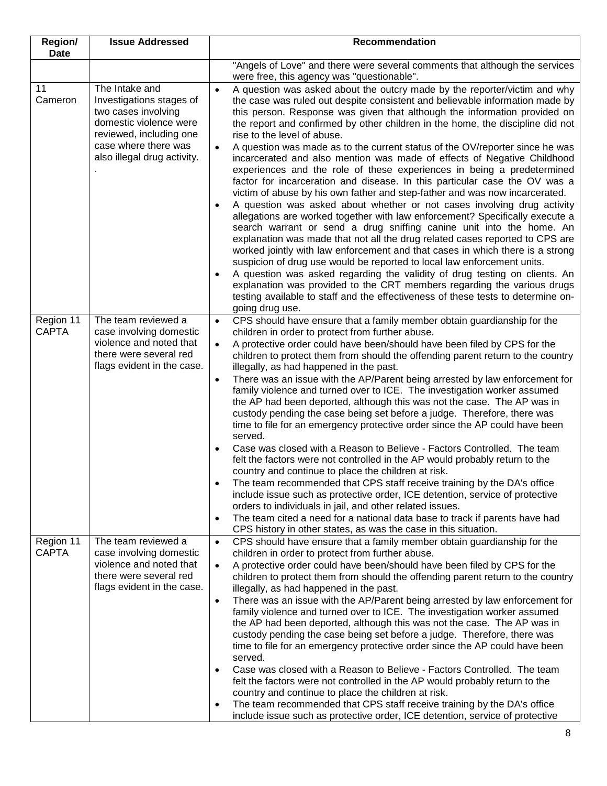| Region/<br>Date           | <b>Issue Addressed</b>                                                                                                                                                        | <b>Recommendation</b>                                                                                                                                                                                                                                                                                                                                                                                                                                                                                                                                                                                                                                                                                                                                                                                                                                                                                                                                                                                                                                                                                                                                                                                                                                                                                                                                                                                                                                                                                                                           |
|---------------------------|-------------------------------------------------------------------------------------------------------------------------------------------------------------------------------|-------------------------------------------------------------------------------------------------------------------------------------------------------------------------------------------------------------------------------------------------------------------------------------------------------------------------------------------------------------------------------------------------------------------------------------------------------------------------------------------------------------------------------------------------------------------------------------------------------------------------------------------------------------------------------------------------------------------------------------------------------------------------------------------------------------------------------------------------------------------------------------------------------------------------------------------------------------------------------------------------------------------------------------------------------------------------------------------------------------------------------------------------------------------------------------------------------------------------------------------------------------------------------------------------------------------------------------------------------------------------------------------------------------------------------------------------------------------------------------------------------------------------------------------------|
|                           |                                                                                                                                                                               | "Angels of Love" and there were several comments that although the services<br>were free, this agency was "questionable".                                                                                                                                                                                                                                                                                                                                                                                                                                                                                                                                                                                                                                                                                                                                                                                                                                                                                                                                                                                                                                                                                                                                                                                                                                                                                                                                                                                                                       |
| 11<br>Cameron             | The Intake and<br>Investigations stages of<br>two cases involving<br>domestic violence were<br>reviewed, including one<br>case where there was<br>also illegal drug activity. | A question was asked about the outcry made by the reporter/victim and why<br>$\bullet$<br>the case was ruled out despite consistent and believable information made by<br>this person. Response was given that although the information provided on<br>the report and confirmed by other children in the home, the discipline did not<br>rise to the level of abuse.<br>A question was made as to the current status of the OV/reporter since he was<br>incarcerated and also mention was made of effects of Negative Childhood<br>experiences and the role of these experiences in being a predetermined<br>factor for incarceration and disease. In this particular case the OV was a<br>victim of abuse by his own father and step-father and was now incarcerated.<br>A question was asked about whether or not cases involving drug activity<br>$\bullet$<br>allegations are worked together with law enforcement? Specifically execute a<br>search warrant or send a drug sniffing canine unit into the home. An<br>explanation was made that not all the drug related cases reported to CPS are<br>worked jointly with law enforcement and that cases in which there is a strong<br>suspicion of drug use would be reported to local law enforcement units.<br>A question was asked regarding the validity of drug testing on clients. An<br>$\bullet$<br>explanation was provided to the CRT members regarding the various drugs<br>testing available to staff and the effectiveness of these tests to determine on-<br>going drug use. |
| Region 11<br><b>CAPTA</b> | The team reviewed a<br>case involving domestic<br>violence and noted that<br>there were several red<br>flags evident in the case.                                             | CPS should have ensure that a family member obtain guardianship for the<br>$\bullet$<br>children in order to protect from further abuse.<br>A protective order could have been/should have been filed by CPS for the<br>$\bullet$<br>children to protect them from should the offending parent return to the country<br>illegally, as had happened in the past.<br>There was an issue with the AP/Parent being arrested by law enforcement for<br>$\bullet$<br>family violence and turned over to ICE. The investigation worker assumed<br>the AP had been deported, although this was not the case. The AP was in<br>custody pending the case being set before a judge. Therefore, there was<br>time to file for an emergency protective order since the AP could have been<br>served.<br>Case was closed with a Reason to Believe - Factors Controlled. The team<br>$\bullet$<br>felt the factors were not controlled in the AP would probably return to the<br>country and continue to place the children at risk.<br>The team recommended that CPS staff receive training by the DA's office<br>$\bullet$<br>include issue such as protective order, ICE detention, service of protective<br>orders to individuals in jail, and other related issues.<br>The team cited a need for a national data base to track if parents have had<br>$\bullet$<br>CPS history in other states, as was the case in this situation.                                                                                                                        |
| Region 11<br><b>CAPTA</b> | The team reviewed a<br>case involving domestic<br>violence and noted that<br>there were several red<br>flags evident in the case.                                             | CPS should have ensure that a family member obtain guardianship for the<br>$\bullet$<br>children in order to protect from further abuse.<br>A protective order could have been/should have been filed by CPS for the<br>$\bullet$<br>children to protect them from should the offending parent return to the country<br>illegally, as had happened in the past.<br>There was an issue with the AP/Parent being arrested by law enforcement for<br>$\bullet$<br>family violence and turned over to ICE. The investigation worker assumed<br>the AP had been deported, although this was not the case. The AP was in<br>custody pending the case being set before a judge. Therefore, there was<br>time to file for an emergency protective order since the AP could have been<br>served.<br>Case was closed with a Reason to Believe - Factors Controlled. The team<br>$\bullet$<br>felt the factors were not controlled in the AP would probably return to the<br>country and continue to place the children at risk.<br>The team recommended that CPS staff receive training by the DA's office<br>$\bullet$<br>include issue such as protective order, ICE detention, service of protective                                                                                                                                                                                                                                                                                                                                                   |